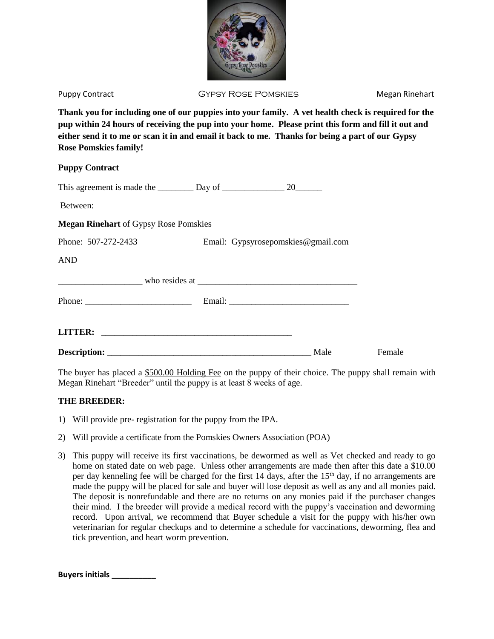

Puppy Contract **East CHU GYPSY ROSE POMSKIES** Megan Rinehart

**Thank you for including one of our puppies into your family. A vet health check is required for the pup within 24 hours of receiving the pup into your home. Please print this form and fill it out and either send it to me or scan it in and email it back to me. Thanks for being a part of our Gypsy Rose Pomskies family!**

## **Puppy Contract**

| This agreement is made the $\_\_\_\_\_$ Day of $\_\_\_\_\_$ 20 $\_\_\_\_$ |  |                                    |        |
|---------------------------------------------------------------------------|--|------------------------------------|--------|
| Between:                                                                  |  |                                    |        |
| <b>Megan Rinehart of Gypsy Rose Pomskies</b>                              |  |                                    |        |
| Phone: 507-272-2433                                                       |  | Email: Gypsyrosepomskies@gmail.com |        |
| <b>AND</b>                                                                |  |                                    |        |
|                                                                           |  |                                    |        |
|                                                                           |  |                                    |        |
|                                                                           |  |                                    |        |
|                                                                           |  | Male                               | Female |

The buyer has placed a \$500.00 Holding Fee on the puppy of their choice. The puppy shall remain with Megan Rinehart "Breeder" until the puppy is at least 8 weeks of age.

## **THE BREEDER:**

- 1) Will provide pre- registration for the puppy from the IPA.
- 2) Will provide a certificate from the Pomskies Owners Association (POA)
- 3) This puppy will receive its first vaccinations, be dewormed as well as Vet checked and ready to go home on stated date on web page. Unless other arrangements are made then after this date a \$10.00 per day kenneling fee will be charged for the first 14 days, after the 15<sup>th</sup> day, if no arrangements are made the puppy will be placed for sale and buyer will lose deposit as well as any and all monies paid. The deposit is nonrefundable and there are no returns on any monies paid if the purchaser changes their mind. I the breeder will provide a medical record with the puppy's vaccination and deworming record. Upon arrival, we recommend that Buyer schedule a visit for the puppy with his/her own veterinarian for regular checkups and to determine a schedule for vaccinations, deworming, flea and tick prevention, and heart worm prevention.

**Buyers initials \_\_\_\_\_\_\_\_\_\_**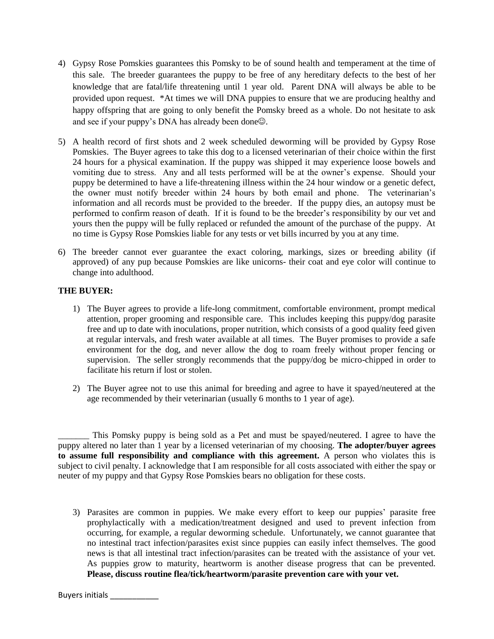- 4) Gypsy Rose Pomskies guarantees this Pomsky to be of sound health and temperament at the time of this sale. The breeder guarantees the puppy to be free of any hereditary defects to the best of her knowledge that are fatal/life threatening until 1 year old. Parent DNA will always be able to be provided upon request. \*At times we will DNA puppies to ensure that we are producing healthy and happy offspring that are going to only benefit the Pomsky breed as a whole. Do not hesitate to ask and see if your puppy's DNA has already been done $\odot$ .
- 5) A health record of first shots and 2 week scheduled deworming will be provided by Gypsy Rose Pomskies. The Buyer agrees to take this dog to a licensed veterinarian of their choice within the first 24 hours for a physical examination. If the puppy was shipped it may experience loose bowels and vomiting due to stress. Any and all tests performed will be at the owner's expense. Should your puppy be determined to have a life-threatening illness within the 24 hour window or a genetic defect, the owner must notify breeder within 24 hours by both email and phone. The veterinarian's information and all records must be provided to the breeder. If the puppy dies, an autopsy must be performed to confirm reason of death. If it is found to be the breeder's responsibility by our vet and yours then the puppy will be fully replaced or refunded the amount of the purchase of the puppy. At no time is Gypsy Rose Pomskies liable for any tests or vet bills incurred by you at any time.
- 6) The breeder cannot ever guarantee the exact coloring, markings, sizes or breeding ability (if approved) of any pup because Pomskies are like unicorns- their coat and eye color will continue to change into adulthood.

## **THE BUYER:**

- 1) The Buyer agrees to provide a life-long commitment, comfortable environment, prompt medical attention, proper grooming and responsible care. This includes keeping this puppy/dog parasite free and up to date with inoculations, proper nutrition, which consists of a good quality feed given at regular intervals, and fresh water available at all times. The Buyer promises to provide a safe environment for the dog, and never allow the dog to roam freely without proper fencing or supervision. The seller strongly recommends that the puppy/dog be micro-chipped in order to facilitate his return if lost or stolen.
- 2) The Buyer agree not to use this animal for breeding and agree to have it spayed/neutered at the age recommended by their veterinarian (usually 6 months to 1 year of age).

This Pomsky puppy is being sold as a Pet and must be spayed/neutered. I agree to have the puppy altered no later than 1 year by a licensed veterinarian of my choosing. **The adopter/buyer agrees to assume full responsibility and compliance with this agreement.** A person who violates this is subject to civil penalty. I acknowledge that I am responsible for all costs associated with either the spay or neuter of my puppy and that Gypsy Rose Pomskies bears no obligation for these costs.

3) Parasites are common in puppies. We make every effort to keep our puppies' parasite free prophylactically with a medication/treatment designed and used to prevent infection from occurring, for example, a regular deworming schedule. Unfortunately, we cannot guarantee that no intestinal tract infection/parasites exist since puppies can easily infect themselves. The good news is that all intestinal tract infection/parasites can be treated with the assistance of your vet. As puppies grow to maturity, heartworm is another disease progress that can be prevented. **Please, discuss routine flea/tick/heartworm/parasite prevention care with your vet.**

Buyers initials \_\_\_\_\_\_\_\_\_\_\_